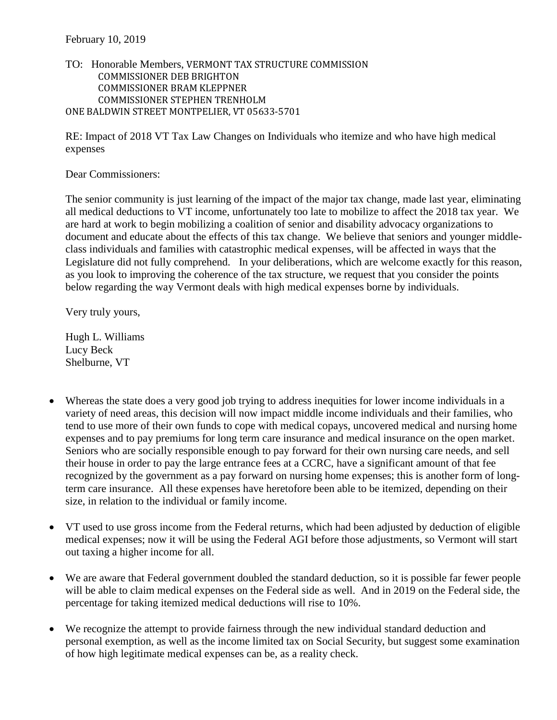## TO: Honorable Members, VERMONT TAX STRUCTURE COMMISSION COMMISSIONER DEB BRIGHTON COMMISSIONER BRAM KLEPPNER COMMISSIONER STEPHEN TRENHOLM ONE BALDWIN STREET MONTPELIER, VT 05633-5701

RE: Impact of 2018 VT Tax Law Changes on Individuals who itemize and who have high medical expenses

Dear Commissioners:

The senior community is just learning of the impact of the major tax change, made last year, eliminating all medical deductions to VT income, unfortunately too late to mobilize to affect the 2018 tax year. We are hard at work to begin mobilizing a coalition of senior and disability advocacy organizations to document and educate about the effects of this tax change. We believe that seniors and younger middleclass individuals and families with catastrophic medical expenses, will be affected in ways that the Legislature did not fully comprehend. In your deliberations, which are welcome exactly for this reason, as you look to improving the coherence of the tax structure, we request that you consider the points below regarding the way Vermont deals with high medical expenses borne by individuals.

Very truly yours,

Hugh L. Williams Lucy Beck Shelburne, VT

- Whereas the state does a very good job trying to address inequities for lower income individuals in a variety of need areas, this decision will now impact middle income individuals and their families, who tend to use more of their own funds to cope with medical copays, uncovered medical and nursing home expenses and to pay premiums for long term care insurance and medical insurance on the open market. Seniors who are socially responsible enough to pay forward for their own nursing care needs, and sell their house in order to pay the large entrance fees at a CCRC, have a significant amount of that fee recognized by the government as a pay forward on nursing home expenses; this is another form of longterm care insurance. All these expenses have heretofore been able to be itemized, depending on their size, in relation to the individual or family income.
- VT used to use gross income from the Federal returns, which had been adjusted by deduction of eligible medical expenses; now it will be using the Federal AGI before those adjustments, so Vermont will start out taxing a higher income for all.
- We are aware that Federal government doubled the standard deduction, so it is possible far fewer people will be able to claim medical expenses on the Federal side as well. And in 2019 on the Federal side, the percentage for taking itemized medical deductions will rise to 10%.
- We recognize the attempt to provide fairness through the new individual standard deduction and personal exemption, as well as the income limited tax on Social Security, but suggest some examination of how high legitimate medical expenses can be, as a reality check.